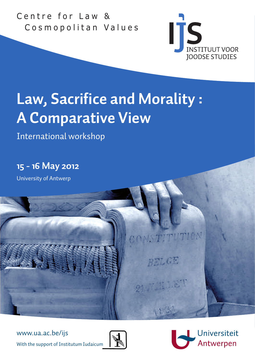Centre for Law & Cosmopolitan Values



# **Law, Sacrifice and Morality : A Comparative View**

International workshop

**15 - 16 May 2012**

University of Antwerp

www.ua.ac.be/ijs

With the support of Institutum Iudaicum



Universiteit Antwerpen

RELGE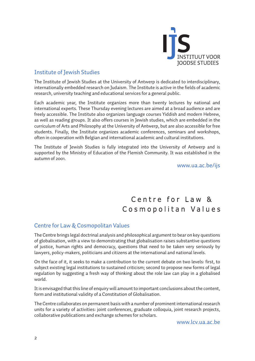

## Institute of Jewish Studies

The Institute of Jewish Studies at the University of Antwerp is dedicated to interdisciplinary, internationally embedded research on Judaism. The Institute is active in the fields of academic research, university teaching and educational services for a general public.

Each academic year, the Institute organizes more than twenty lectures by national and international experts. These Thursday evening lectures are aimed at a broad audience and are freely accessible. The Institute also organizes language courses Yiddish and modern Hebrew, as well as reading groups. It also offers courses in Jewish studies, which are embedded in the curriculum of Arts and Philosophy at the University of Antwerp, but are also accessible for free students. Finally, the Institute organizes academic conferences, seminars and workshops, often in cooperation with Belgian and international academic and cultural institutions.

The Institute of Jewish Studies is fully integrated into the University of Antwerp and is supported by the Ministry of Education of the Flemish Community. It was established in the autumn of 2001.

www.ua.ac.be/ijs

# Centre for law & Cosmopolitan Values

### Centre for Law & Cosmopolitan Values

The Centre brings legal doctrinal analysis and philosophical argument to bear on key questions of globalisation, with a view to demonstrating that globalisation raises substantive questions of justice, human rights and democracy, questions that need to be taken very seriously by lawyers, policy-makers, politicians and citizens at the international and national levels.

On the face of it, it seeks to make a contribution to the current debate on two levels: first, to subject existing legal institutions to sustained criticism; second to propose new forms of legal regulation by suggesting a fresh way of thinking about the role law can play in a globalised world.

It is envisaged that this line of enquiry will amount to important conclusions about the content, form and institutional validity of a Constitution of Globalisation.

The Centre collaborates on permanent basis with a number of prominent international research units for a variety of activities: joint conferences, graduate colloquia, joint research projects, collaborative publications and exchange schemes for scholars.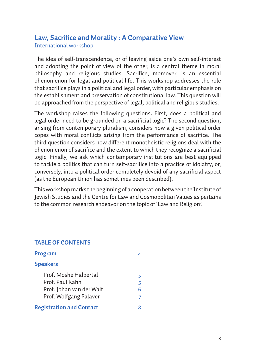## **Law, Sacrifice and Morality : A Comparative View** International workshop

The idea of self-transcendence, or of leaving aside one's own self-interest and adopting the point of view of the other, is a central theme in moral philosophy and religious studies. Sacrifice, moreover, is an essential phenomenon for legal and political life. This workshop addresses the role that sacrifice plays in a political and legal order, with particular emphasis on the establishment and preservation of constitutional law. This question will be approached from the perspective of legal, political and religious studies.

The workshop raises the following questions: First, does a political and legal order need to be grounded on a sacrificial logic? The second question, arising from contemporary pluralism, considers how a given political order copes with moral conflicts arising from the performance of sacrifice. The third question considers how different monotheistic religions deal with the phenomenon of sacrifice and the extent to which they recognize a sacrificial logic. Finally, we ask which contemporary institutions are best equipped to tackle a politics that can turn self-sacrifice into a practice of idolatry, or, conversely, into a political order completely devoid of any sacrificial aspect (as the European Union has sometimes been described).

This workshop marks the beginning of a cooperation between the Institute of Jewish Studies and the Centre for Law and Cosmopolitan Values as pertains to the common research endeavor on the topic of 'Law and Religion'.

#### **TABLE OF CONTENTS**

| Program                         |   |
|---------------------------------|---|
| <b>Speakers</b>                 |   |
| Prof. Moshe Halbertal           | 5 |
| Prof. Paul Kahn                 | 5 |
| Prof. Johan van der Walt        | 6 |
| Prof. Wolfgang Palaver          |   |
| <b>Registration and Contact</b> |   |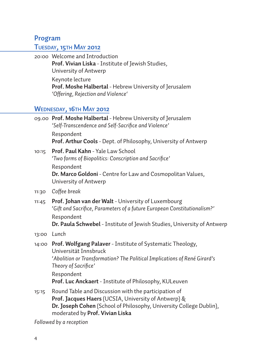## **Program**

## **Tuesday, 15th May 2012**

20:00 Welcome and Introduction **Prof. Vivian Liska** - Institute of Jewish Studies, University of Antwerp Keynote lecture **Prof. Moshe Halbertal** - Hebrew University of Jerusalem *'Offering, Rejection and Violence'* 

## **Wednesday, 16th May 2012**

- 09.00 **Prof. Moshe Halbertal** Hebrew University of Jerusalem *'Self-Transcendence and Self-Sacrifice and Violence'* Respondent **Prof. Arthur Cools** - Dept. of Philosophy, University of Antwerp
- 10:15 **Prof. Paul Kahn**  Yale Law School '*Two forms of Biopolitics: Conscription and Sacrifice'* Respondent **Dr. Marco Goldoni** - Centre for Law and Cosmopolitan Values, University of Antwerp
- 11:30 *Coffee break*
- 11:45 **Prof. Johan van der Walt**  University of Luxembourg '*Gift and Sacrifice, Parameters of a future European Constitutionalism?'* Respondent **Dr. Paula Schwebel** - Institute of Jewish Studies, University of Antwerp
- 13:00 *Lunch*
- 14:00 **Prof. Wolfgang Palaver**  Institute of Systematic Theology, Universität Innsbruck '*Abolition or Transformation? The Political Implications of René Girard's Theory of Sacrifice'* Respondent **Prof. Luc Anckaert** - Institute of Philosophy, KULeuven
- 15:15 Round Table and Discussion with the participation of **Prof. Jacques Haers** (UCSIA, University of Antwerp) & **Dr. Joseph Cohen** (School of Philosophy, University College Dublin), moderated by **Prof. Vivian Liska**

*Followed by a reception*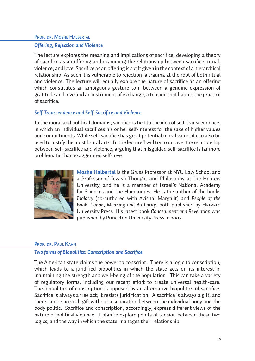## **Prof. dr. Moshe Halbertal** *Offering, Rejection and Violence*

The lecture explores the meaning and implications of sacrifice, developing a theory of sacrifice as an offering and examining the relationship between sacrifice, ritual, violence, and love. Sacrifice as an offering is a gift given in the context of a hierarchical relationship. As such it is vulnerable to rejection, a trauma at the root of both ritual and violence. The lecture will equally explore the nature of sacrifice as an offering which constitutes an ambiguous gesture torn between a genuine expression of gratitude and love and an instrument of exchange, a tension that haunts the practice of sacrifice.

#### *Self-Transcendence and Self-Sacrifice and Violence*

In the moral and political domains, sacrifice is tied to the idea of self-transcendence, in which an individual sacrifices his or her self-interest for the sake of higher values and commitments. While self-sacrifice has great potential moral value, it can also be used to justify the most brutal acts. In the lecture I will try to unravel the relationship between self-sacrifice and violence, arguing that misguided self-sacrifice is far more problematic than exaggerated self-love.



**Moshe Halbertal** is the Gruss Professor at NYU Law School and a Professor of Jewish Thought and Philosophy at the Hebrew University, and he is a member of Israel's National Academy for Sciences and the Humanities. He is the author of the books *Idolatry* (co-authored with Avishai Margalit) and *People of the Book: Canon, Meaning and Authority*, both published by Harvard University Press. His latest book *Concealment and Revelation* was published by Princeton University Press in 2007.

#### **Prof. dr. Paul Kahn**

#### *Two forms of Biopolitics: Conscription and Sacrifice*

The American state claims the power to conscript. There is a logic to conscription, which leads to a juridified biopolitics in which the state acts on its interest in maintaining the strength and well-being of the population. This can take a variety of regulatory forms, including our recent effort to create universal health-care. The biopolitics of conscription is opposed by an alternative biopolitics of sacrifice. Sacrifice is always a free act; it resists juridification. A sacrifice is always a gift, and there can be no such gift without a separation between the individual body and the body politic. Sacrifice and conscription, accordingly, express different views of the nature of political violence. I plan to explore points of tension between these two logics, and the way in which the state manages their relationship.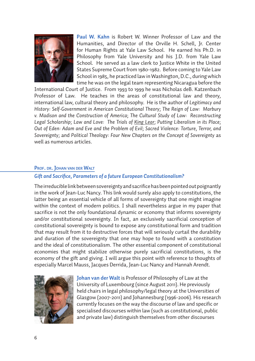

**Paul W. Kahn** is Robert W. Winner Professor of Law and the Humanities, and Director of the Orville H. Schell, Jr. Center for Human Rights at Yale Law School. He earned his Ph.D. in Philosophy from Yale University and his J.D. from Yale Law School. He served as a law clerk to Justice White in the United States Supreme Court from 1980-1982. Before coming to Yale Law School in 1985, he practiced law in Washington, D.C., during which time he was on the legal team representing Nicaragua before the

International Court of Justice. From 1993 to 1999 he was Nicholas deB. Katzenbach Professor of Law. He teaches in the areas of constitutional law and theory, international law, cultural theory and philosophy. He is the author of *Legitimacy and History: Self-Government in American Constitutional Theory*; *The Reign of Law: Marbury v. Madison and the Construction of America*; *The Cultural Study of Law: Reconstructing Legal Scholarship; Law and Love: The Trials of King Lear; Putting Liberalism in its Place; Out of Eden: Adam and Eve and the Problem of Evil; Sacred Violence: Torture, Terror, and Sovereignty;* and *Political Theology: Four New Chapters on the Concept of Sovereignty* as well as numerous articles.

#### **Prof. dr. Johan van der Walt**

#### *Gift and Sacrifice, Parameters of a future European Constitutionalism?*

The irreducible link between sovereignty and sacrifice has been pointed out poignantly in the work of Jean-Luc Nancy. This link would surely also apply to constitutions, the latter being an essential vehicle of all forms of sovereignty that one might imagine within the context of modern politics. I shall nevertheless argue in my paper that sacrifice is not the only foundational dynamic or economy that informs sovereignty and/or constitutional sovereignty. In fact, an exclusively sacrificial conception of constitutional sovereignty is bound to expose any constitutional form and tradition that may result from it to destructive forces that will seriously curtail the durability and duration of the sovereignty that one may hope to found with a constitution and the ideal of constitutionalism. The other essential component of constitutional economies that might stabilize otherwise purely sacrificial constitutions, is the economy of the gift and giving. I will argue this point with reference to thoughts of especially Marcel Mauss, Jacques Derrida, Jean-Luc Nancy and Hannah Arendt.



**Johan van der Walt** is Professor of Philosophy of Law at the University of Luxembourg (since August 2011). He previously held chairs in legal philosophy/legal theory at the Universities of Glasgow (2007-2011) and Johannesburg (1996-2006). His research currently focuses on the way the discourse of law and specific or specialised discourses within law (such as constitutional, public and private law) distinguish themselves from other discourses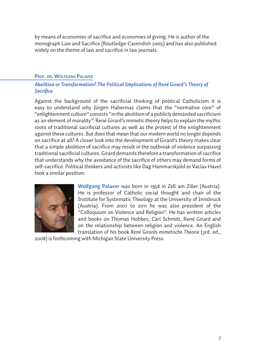by means of economies of sacrifice and economies of giving. He is author of the monograph Law and Sacrifice (Routledge-Cavendish 2005) and has also published widely on the theme of law and sacrifice in law journals.

#### **Prof. dr. Wolfgang Palaver**

#### *Abolition or Transformation? The Political Implications of René Girard's Theory of Sacrifice*

Against the background of the sacrificial thinking of political Catholicism it is easy to understand why Jürgen Habermas claims that the "normative core" of "enlightenment culture" consists "in the abolition of a publicly demanded sacrificium as an element of morality". René Girard's mimetic theory helps to explain the mythic roots of traditional sacrificial cultures as well as the protest of the enlightenment against these cultures. But does that mean that our modern world no longer depends on sacrifice at all? A closer look into the development of Girard's theory makes clear that a simple abolition of sacrifice may result in the outbreak of violence surpassing traditional sacrificial cultures. Girard demands therefore a transformation of sacrifice that understands why the avoidance of the sacrifice of others may demand forms of self-sacrifice. Political thinkers and activists like Dag Hammarskjöld or Vaclav Havel took a similar position.



**Wolfgang Palaver** was born in 1958 in Zell am Ziller (Austria). He is professor of Catholic social thought and chair of the Institute for Systematic Theology at the University of Innsbruck (Austria). From 2007 to 2011 he was also president of the "Colloquium on Violence and Religion". He has written articles and books on Thomas Hobbes, Carl Schmitt, René Girard and on the relationship between religion and violence. An English translation of his book *René Girards mimetische Theorie* (3rd. ed.,

2008) is forthcoming with Michigan State University Press.